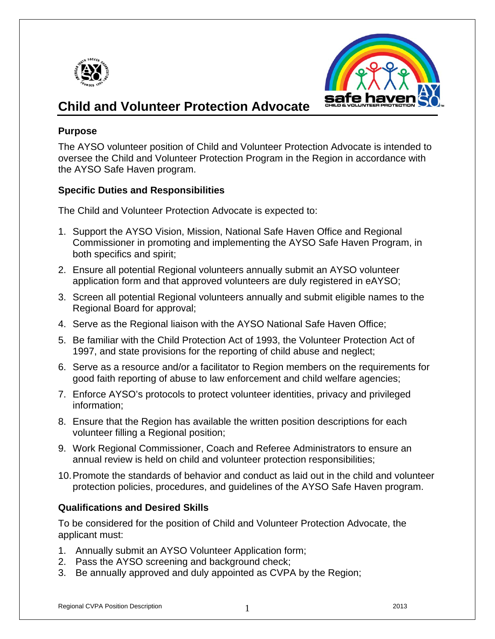



# **Child and Volunteer Protection Advocate**

## **Purpose**

The AYSO volunteer position of Child and Volunteer Protection Advocate is intended to oversee the Child and Volunteer Protection Program in the Region in accordance with the AYSO Safe Haven program.

### **Specific Duties and Responsibilities**

The Child and Volunteer Protection Advocate is expected to:

- 1. Support the AYSO Vision, Mission, National Safe Haven Office and Regional Commissioner in promoting and implementing the AYSO Safe Haven Program, in both specifics and spirit;
- 2. Ensure all potential Regional volunteers annually submit an AYSO volunteer application form and that approved volunteers are duly registered in eAYSO;
- 3. Screen all potential Regional volunteers annually and submit eligible names to the Regional Board for approval;
- 4. Serve as the Regional liaison with the AYSO National Safe Haven Office;
- 5. Be familiar with the Child Protection Act of 1993, the Volunteer Protection Act of 1997, and state provisions for the reporting of child abuse and neglect;
- 6. Serve as a resource and/or a facilitator to Region members on the requirements for good faith reporting of abuse to law enforcement and child welfare agencies;
- 7. Enforce AYSO's protocols to protect volunteer identities, privacy and privileged information;
- 8. Ensure that the Region has available the written position descriptions for each volunteer filling a Regional position;
- 9. Work Regional Commissioner, Coach and Referee Administrators to ensure an annual review is held on child and volunteer protection responsibilities;
- 10. Promote the standards of behavior and conduct as laid out in the child and volunteer protection policies, procedures, and guidelines of the AYSO Safe Haven program.

### **Qualifications and Desired Skills**

To be considered for the position of Child and Volunteer Protection Advocate, the applicant must:

- 1. Annually submit an AYSO Volunteer Application form;
- 2. Pass the AYSO screening and background check;
- 3. Be annually approved and duly appointed as CVPA by the Region;